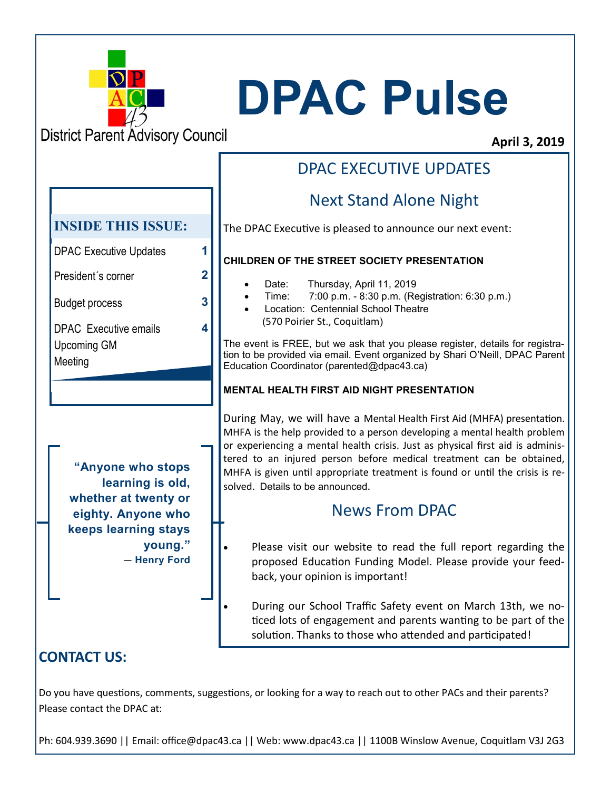

# **DPAC Pulse**

**District Parent Advisory Council** 

#### **April 3, 2019**

# **"Anyone who stops learning is old, whether at twenty or eighty. Anyone who keeps learning stays young."**  ― **Henry Ford**  DPAC Executive Updates **1** President´s corner **2** Budget process **3** DPAC Executive emails Upcoming GM Meeting **4 INSIDE THIS ISSUE:**

# DPAC EXECUTIVE UPDATES

## Next Stand Alone Night

The DPAC Executive is pleased to announce our next event:

#### **CHILDREN OF THE STREET SOCIETY PRESENTATION**

- Date: Thursday, April 11, 2019
- Time: 7:00 p.m. 8:30 p.m. (Registration: 6:30 p.m.)
- Location: Centennial School Theatre (570 Poirier St., Coquitlam)

The event is FREE, but we ask that you please register, details for registration to be provided via email. Event organized by Shari O'Neill, DPAC Parent Education Coordinator (parented@dpac43.ca)

#### **MENTAL HEALTH FIRST AID NIGHT PRESENTATION**

During May, we will have a Mental Health First Aid (MHFA) presentation. MHFA is the help provided to a person developing a mental health problem or experiencing a mental health crisis. Just as physical first aid is administered to an injured person before medical treatment can be obtained, MHFA is given until appropriate treatment is found or until the crisis is resolved. Details to be announced.

## News From DPAC

Please visit our website to read the full report regarding the proposed Education Funding Model. Please provide your feedback, your opinion is important!

• During our School Traffic Safety event on March 13th, we noticed lots of engagement and parents wanting to be part of the solution. Thanks to those who attended and participated!

## **CONTACT US:**

Do you have questions, comments, suggestions, or looking for a way to reach out to other PACs and their parents? Please contact the DPAC at:

Ph: 604.939.3690 || Email: office@dpac43.ca || Web: www.dpac43.ca || 1100B Winslow Avenue, Coquitlam V3J 2G3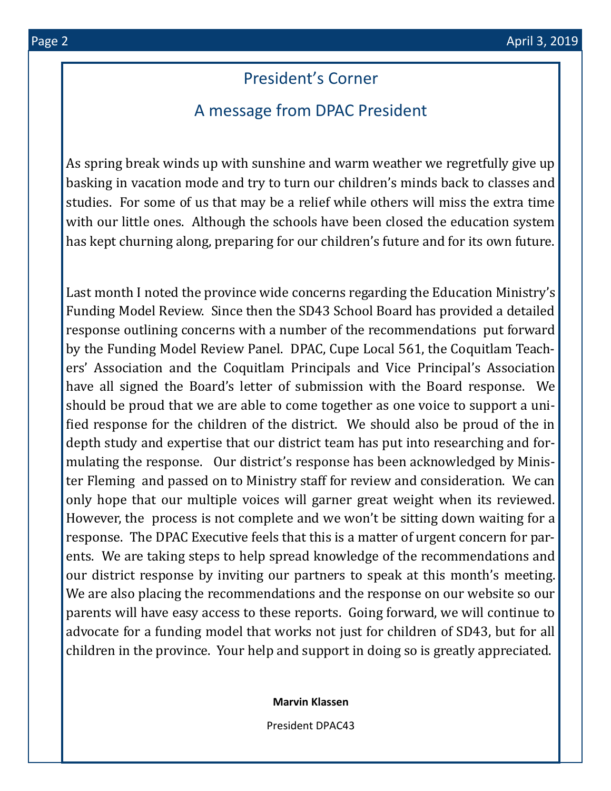#### President's Corner

#### A message from DPAC President

As spring break winds up with sunshine and warm weather we regretfully give up basking in vacation mode and try to turn our children's minds back to classes and studies. For some of us that may be a relief while others will miss the extra time with our little ones. Although the schools have been closed the education system has kept churning along, preparing for our children's future and for its own future.

Last month I noted the province wide concerns regarding the Education Ministry's Funding Model Review. Since then the SD43 School Board has provided a detailed response outlining concerns with a number of the recommendations put forward by the Funding Model Review Panel. DPAC, Cupe Local 561, the Coquitlam Teachers' Association and the Coquitlam Principals and Vice Principal's Association have all signed the Board's letter of submission with the Board response. We should be proud that we are able to come together as one voice to support a unified response for the children of the district. We should also be proud of the in depth study and expertise that our district team has put into researching and formulating the response. Our district's response has been acknowledged by Minister Fleming and passed on to Ministry staff for review and consideration. We can only hope that our multiple voices will garner great weight when its reviewed. However, the process is not complete and we won't be sitting down waiting for a response. The DPAC Executive feels that this is a matter of urgent concern for parents. We are taking steps to help spread knowledge of the recommendations and our district response by inviting our partners to speak at this month's meeting. We are also placing the recommendations and the response on our website so our parents will have easy access to these reports. Going forward, we will continue to advocate for a funding model that works not just for children of SD43, but for all children in the province. Your help and support in doing so is greatly appreciated.

**Marvin Klassen**

President DPAC43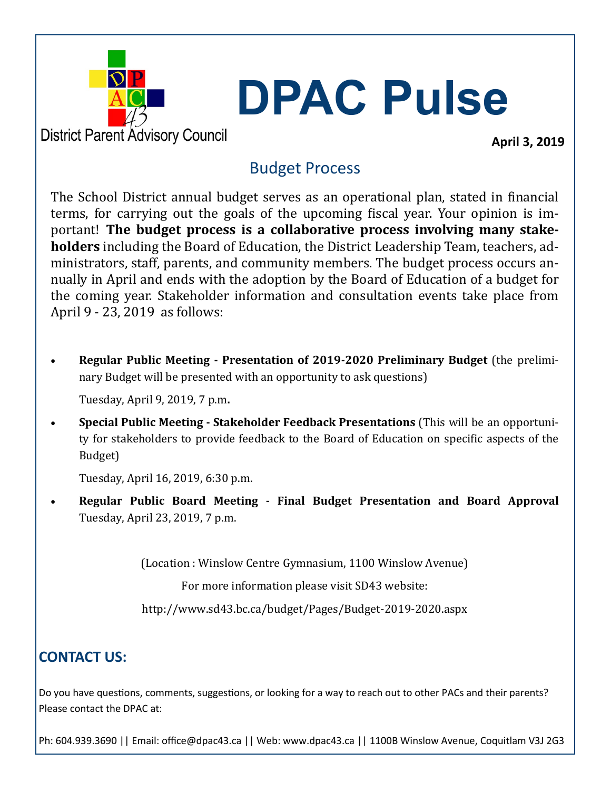

**DPAC Pulse**

**District Parent Advisory Council** 

**April 3, 2019**

## Budget Process

The School District annual budget serves as an operational plan, stated in financial terms, for carrying out the goals of the upcoming fiscal year. Your opinion is important! **The budget process is a collaborative process involving many stakeholders** including the Board of Education, the District Leadership Team, teachers, administrators, staff, parents, and community members. The budget process occurs annually in April and ends with the adoption by the Board of Education of a budget for the coming year. Stakeholder information and consultation events take place from April 9 - 23, 2019 as follows:

• **Regular Public Meeting - Presentation of 2019-2020 Preliminary Budget** (the preliminary Budget will be presented with an opportunity to ask questions)

Tuesday, April 9, 2019, 7 p.m**.**

• **Special Public Meeting - Stakeholder Feedback Presentations** (This will be an opportunity for stakeholders to provide feedback to the Board of Education on specific aspects of the Budget)

Tuesday, April 16, 2019, 6:30 p.m.

• **Regular Public Board Meeting - Final Budget Presentation and Board Approval**  Tuesday, April 23, 2019, 7 p.m.

(Location : Winslow Centre Gymnasium, 1100 Winslow Avenue)

For more information please visit SD43 website:

http://www.sd43.bc.ca/budget/Pages/Budget-2019-2020.aspx

# **CONTACT US:**

Do you have questions, comments, suggestions, or looking for a way to reach out to other PACs and their parents? Please contact the DPAC at:

Ph: 604.939.3690 || Email: office@dpac43.ca || Web: www.dpac43.ca || 1100B Winslow Avenue, Coquitlam V3J 2G3